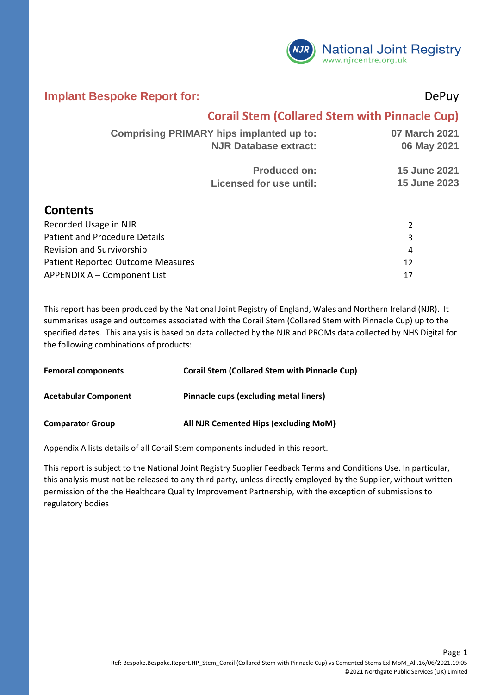

#### **Implant Bespoke Report for:** DePuy

## **Corail Stem (Collared Stem with Pinnacle Cup)**

| <b>Comprising PRIMARY hips implanted up to:</b> | 07 March 2021       |
|-------------------------------------------------|---------------------|
| <b>NJR Database extract:</b>                    | 06 May 2021         |
| <b>Produced on:</b>                             | <b>15 June 2021</b> |
| Licensed for use until:                         | <b>15 June 2023</b> |
|                                                 |                     |
|                                                 |                     |

### **Contents**

| Recorded Usage in NJR                    |    |
|------------------------------------------|----|
| Patient and Procedure Details            |    |
| Revision and Survivorship                | 4  |
| <b>Patient Reported Outcome Measures</b> |    |
| APPENDIX A - Component List              | 17 |

This report has been produced by the National Joint Registry of England, Wales and Northern Ireland (NJR). It summarises usage and outcomes associated with the Corail Stem (Collared Stem with Pinnacle Cup) up to the specified dates. This analysis is based on data collected by the NJR and PROMs data collected by NHS Digital for the following combinations of products:

| <b>Femoral components</b>   | <b>Corail Stem (Collared Stem with Pinnacle Cup)</b> |
|-----------------------------|------------------------------------------------------|
| <b>Acetabular Component</b> | Pinnacle cups (excluding metal liners)               |
| <b>Comparator Group</b>     | All NJR Cemented Hips (excluding MoM)                |

Appendix A lists details of all Corail Stem components included in this report.

This report is subject to the National Joint Registry Supplier Feedback Terms and Conditions Use. In particular, this analysis must not be released to any third party, unless directly employed by the Supplier, without written permission of the the Healthcare Quality Improvement Partnership, with the exception of submissions to regulatory bodies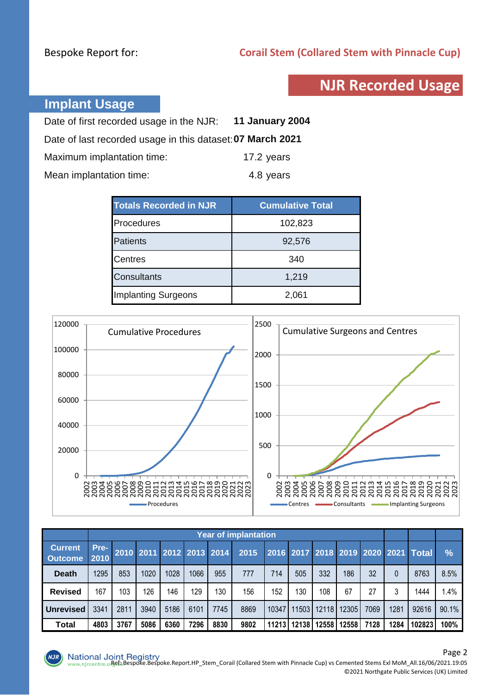## **NJR Recorded Usage**

## **Implant Usage**

| Date of first recorded usage in the NJR: 11 January 2004   |            |
|------------------------------------------------------------|------------|
| Date of last recorded usage in this dataset: 07 March 2021 |            |
| Maximum implantation time:                                 | 17.2 years |
| Mean implantation time:                                    | 4.8 years  |

| <b>Totals Recorded in NJR</b> | <b>Cumulative Total</b> |  |  |  |
|-------------------------------|-------------------------|--|--|--|
| Procedures                    | 102,823                 |  |  |  |
| <b>Patients</b>               | 92,576                  |  |  |  |
| <b>Centres</b>                | 340                     |  |  |  |
| <b>Consultants</b>            | 1,219                   |  |  |  |
| <b>Implanting Surgeons</b>    | 2,061                   |  |  |  |



|                                  |              | <b>Year of implantation</b> |      |      |      |                          |      |       |                   |       |       |      |          |                                     |       |
|----------------------------------|--------------|-----------------------------|------|------|------|--------------------------|------|-------|-------------------|-------|-------|------|----------|-------------------------------------|-------|
| <b>Current</b><br><b>Outcome</b> | Pre-<br>2010 |                             |      |      |      | 2010 2011 2012 2013 2014 | 2015 |       |                   |       |       |      |          | 2016 2017 2018 2019 2020 2021 Total | $\%$  |
| <b>Death</b>                     | 1295         | 853                         | 1020 | 1028 | 1066 | 955                      | 777  | 714   | 505               | 332   | 186   | 32   | $\Omega$ | 8763                                | 8.5%  |
| <b>Revised</b>                   | 167          | 103                         | 126  | 146  | 129  | 130                      | 156  | 152   | 130               | 108   | 67    | 27   |          | 1444                                | 1.4%  |
| <b>Unrevised</b>                 | 3341         | 2811                        | 3940 | 5186 | 6101 | 7745                     | 8869 | 10347 | 1503 <sub>l</sub> | 12118 | 12305 | 7069 | 1281     | 92616                               | 90.1% |
| Total                            | 4803         | 3767                        | 5086 | 6360 | 7296 | 8830                     | 9802 | 11213 | 12138             | 12558 | 12558 | 7128 | 1284     | 102823                              | 100%  |

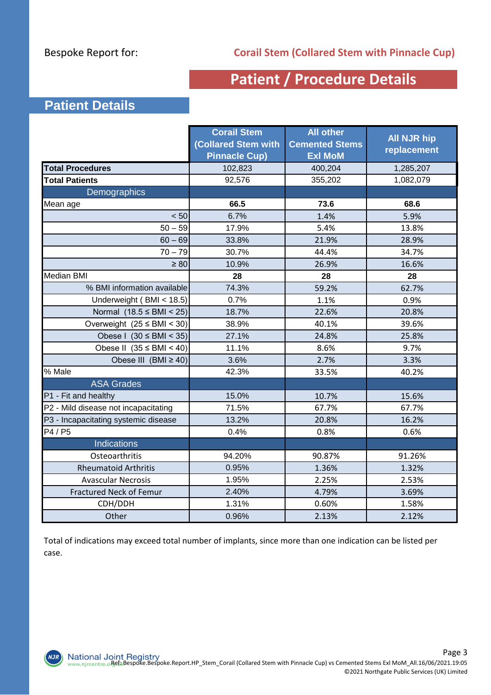## **Patient / Procedure Details**

## **Patient Details**

|                                      | <b>Corail Stem</b><br><b>Collared Stem with</b><br><b>Pinnacle Cup)</b> | <b>All other</b><br><b>Cemented Stems</b><br><b>Exl MoM</b> | <b>All NJR hip</b><br>replacement |
|--------------------------------------|-------------------------------------------------------------------------|-------------------------------------------------------------|-----------------------------------|
| <b>Total Procedures</b>              | 102,823                                                                 | 400,204                                                     | 1,285,207                         |
| <b>Total Patients</b>                | 92,576                                                                  | 355,202                                                     | 1,082,079                         |
| Demographics                         |                                                                         |                                                             |                                   |
| Mean age                             | 66.5                                                                    | 73.6                                                        | 68.6                              |
| < 50                                 | 6.7%                                                                    | 1.4%                                                        | 5.9%                              |
| $50 - 59$                            | 17.9%                                                                   | 5.4%                                                        | 13.8%                             |
| $60 - 69$                            | 33.8%                                                                   | 21.9%                                                       | 28.9%                             |
| $70 - 79$                            | 30.7%                                                                   | 44.4%                                                       | 34.7%                             |
| $\geq 80$                            | 10.9%                                                                   | 26.9%                                                       | 16.6%                             |
| <b>Median BMI</b>                    | 28                                                                      | 28                                                          | 28                                |
| % BMI information available          | 74.3%                                                                   | 59.2%                                                       | 62.7%                             |
| Underweight (BMI < 18.5)             | 0.7%                                                                    | 1.1%                                                        | 0.9%                              |
| Normal $(18.5 \leq BMI < 25)$        | 18.7%                                                                   | 22.6%                                                       | 20.8%                             |
| Overweight $(25 \leq BMI < 30)$      | 38.9%                                                                   | 40.1%                                                       | 39.6%                             |
| Obese I $(30 \leq BMI \leq 35)$      | 27.1%                                                                   | 24.8%                                                       | 25.8%                             |
| Obese II $(35 \leq BMI < 40)$        | 11.1%                                                                   | 8.6%                                                        | 9.7%                              |
| Obese III $(BMI \ge 40)$             | 3.6%                                                                    | 2.7%                                                        | 3.3%                              |
| % Male                               | 42.3%                                                                   | 33.5%                                                       | 40.2%                             |
| <b>ASA Grades</b>                    |                                                                         |                                                             |                                   |
| P1 - Fit and healthy                 | 15.0%                                                                   | 10.7%                                                       | 15.6%                             |
| P2 - Mild disease not incapacitating | 71.5%                                                                   | 67.7%                                                       | 67.7%                             |
| P3 - Incapacitating systemic disease | 13.2%                                                                   | 20.8%                                                       | 16.2%                             |
| P4 / P5                              | 0.4%                                                                    | 0.8%                                                        | 0.6%                              |
| Indications                          |                                                                         |                                                             |                                   |
| Osteoarthritis                       | 94.20%                                                                  | 90.87%                                                      | 91.26%                            |
| <b>Rheumatoid Arthritis</b>          | 0.95%                                                                   | 1.36%                                                       | 1.32%                             |
| <b>Avascular Necrosis</b>            | 1.95%                                                                   | 2.25%                                                       | 2.53%                             |
| <b>Fractured Neck of Femur</b>       | 2.40%                                                                   | 4.79%                                                       | 3.69%                             |
| CDH/DDH                              | 1.31%                                                                   | 0.60%                                                       | 1.58%                             |
| Other                                | 0.96%                                                                   | 2.13%                                                       | 2.12%                             |

Total of indications may exceed total number of implants, since more than one indication can be listed per case.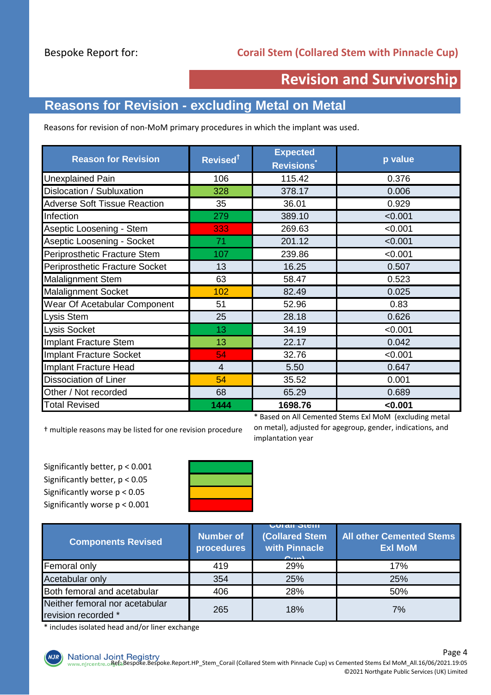## **Revision and Survivorship**

## **Reasons for Revision - excluding Metal on Metal**

Reasons for revision of non-MoM primary procedures in which the implant was used.

| <b>Reason for Revision</b>          | Revised <sup>†</sup> | <b>Expected</b><br><b>Revisions</b> | p value |  |
|-------------------------------------|----------------------|-------------------------------------|---------|--|
| <b>Unexplained Pain</b>             | 106                  | 115.42                              | 0.376   |  |
| Dislocation / Subluxation           | 328                  | 378.17                              | 0.006   |  |
| <b>Adverse Soft Tissue Reaction</b> | 35                   | 36.01                               | 0.929   |  |
| Infection                           | 279                  | 389.10                              | < 0.001 |  |
| Aseptic Loosening - Stem            | 333                  | 269.63                              | < 0.001 |  |
| Aseptic Loosening - Socket          | 71                   | 201.12                              | < 0.001 |  |
| Periprosthetic Fracture Stem        | 107                  | 239.86                              | < 0.001 |  |
| Periprosthetic Fracture Socket      | 16.25<br>13          |                                     | 0.507   |  |
| <b>Malalignment Stem</b>            | 63<br>58.47          |                                     | 0.523   |  |
| <b>Malalignment Socket</b>          | 102                  | 82.49                               | 0.025   |  |
| Wear Of Acetabular Component        | 51                   | 52.96                               | 0.83    |  |
| Lysis Stem                          | 25                   | 28.18                               | 0.626   |  |
| <b>Lysis Socket</b>                 | 13                   | 34.19                               | < 0.001 |  |
| Implant Fracture Stem               | 13                   | 22.17                               | 0.042   |  |
| Implant Fracture Socket             | 54                   | 32.76                               | < 0.001 |  |
| Implant Fracture Head               | $\overline{4}$       | 5.50                                | 0.647   |  |
| <b>Dissociation of Liner</b>        | 54                   | 35.52                               | 0.001   |  |
| Other / Not recorded                | 68                   | 65.29                               | 0.689   |  |
| <b>Total Revised</b>                | 1444                 | 1698.76                             | < 0.001 |  |

† multiple reasons may be listed for one revision procedure

Significantly better, p < 0.001 Significantly better, p < 0.05 Significantly worse p < 0.05 Significantly worse p < 0.001



\* Based on All Cemented Stems Exl MoM (excluding metal on metal), adjusted for agegroup, gender, indications, and implantation year

| <b>Components Revised</b>                             | <b>Number of</b><br>procedures | <b>UULAIL JULII</b><br><b>(Collared Stem</b><br>with Pinnacle<br>$O(n+1)$ | <b>All other Cemented Stems</b><br><b>Exl MoM</b> |  |
|-------------------------------------------------------|--------------------------------|---------------------------------------------------------------------------|---------------------------------------------------|--|
| Femoral only                                          | 419                            | 29%                                                                       | 17%                                               |  |
| Acetabular only                                       | 354                            | 25%                                                                       | 25%                                               |  |
| Both femoral and acetabular                           | 406                            | 28%                                                                       | 50%                                               |  |
| Neither femoral nor acetabular<br>revision recorded * | 265                            | 18%                                                                       | 7%                                                |  |

\* includes isolated head and/or liner exchange

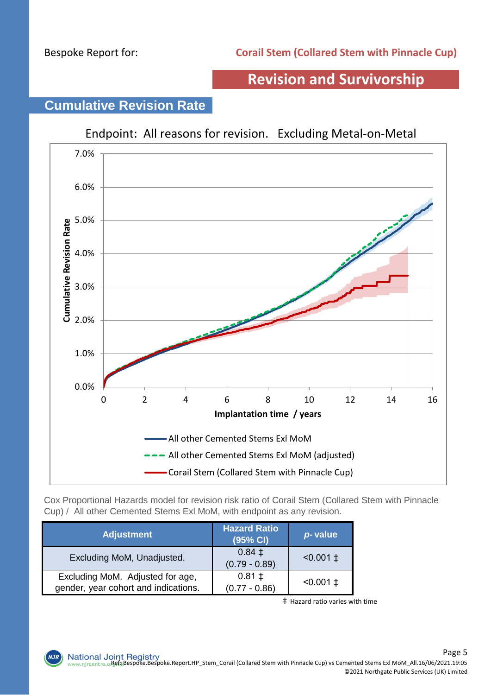## **Revision and Survivorship**



# **Cumulative Revision Rate**

Cox Proportional Hazards model for revision risk ratio of Corail Stem (Collared Stem with Pinnacle Cup) / All other Cemented Stems Exl MoM, with endpoint as any revision.

| <b>Adjustment</b>                                                        | <b>Hazard Ratio</b><br>$(95%$ CI) <sup>1</sup> | p-value         |
|--------------------------------------------------------------------------|------------------------------------------------|-----------------|
| Excluding MoM, Unadjusted.                                               | $0.84 \pm$<br>$(0.79 - 0.89)$                  | $< 0.001 \pm 1$ |
| Excluding MoM. Adjusted for age,<br>gender, year cohort and indications. | $0.81 \pm$<br>$(0.77 - 0.86)$                  | $< 0.001 \pm 1$ |

‡ Hazard ratio varies with time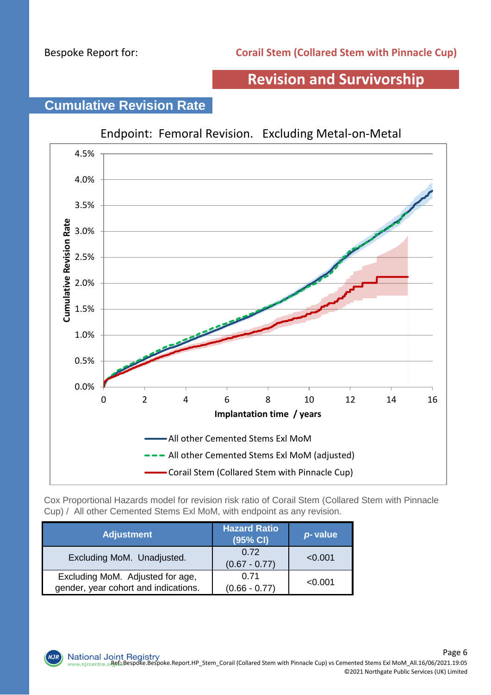## **Revision and Survivorship**

## **Cumulative Revision Rate**



Cox Proportional Hazards model for revision risk ratio of Corail Stem (Collared Stem with Pinnacle Cup) / All other Cemented Stems Exl MoM, with endpoint as any revision.

| <b>Adjustment</b>                                                        | <b>Hazard Ratio</b><br>(95% CI) | p-value |
|--------------------------------------------------------------------------|---------------------------------|---------|
| Excluding MoM. Unadjusted.                                               | 0.72<br>$(0.67 - 0.77)$         | < 0.001 |
| Excluding MoM. Adjusted for age,<br>gender, year cohort and indications. | 0.71<br>$(0.66 - 0.77)$         | < 0.001 |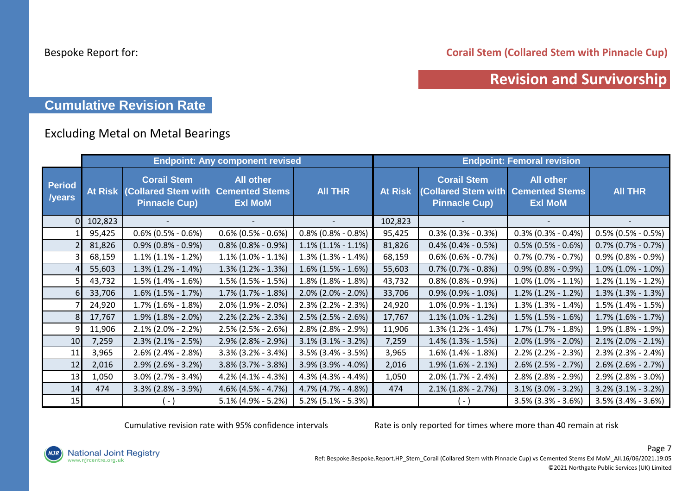**Corail Stem (Collared Stem with Pinnacle Cup)**

## **Revision and Survivorship**

## **Cumulative Revision Rate**

## Excluding Metal on Metal Bearings

|                         |                |                                                                                  | <b>Endpoint: Any component revised</b> |                       | <b>Endpoint: Femoral revision</b> |                                                                          |                                                             |                       |  |
|-------------------------|----------------|----------------------------------------------------------------------------------|----------------------------------------|-----------------------|-----------------------------------|--------------------------------------------------------------------------|-------------------------------------------------------------|-----------------------|--|
| <b>Period</b><br>/years | <b>At Risk</b> | <b>Corail Stem</b><br>(Collared Stem with Cemented Stems<br><b>Pinnacle Cup)</b> | <b>All other</b><br><b>Exl MoM</b>     | <b>AII THR</b>        | <b>At Risk</b>                    | <b>Corail Stem</b><br><b>(Collared Stem with</b><br><b>Pinnacle Cup)</b> | <b>All other</b><br><b>Cemented Stems</b><br><b>Exl MoM</b> | <b>AII THR</b>        |  |
|                         | 102,823        |                                                                                  |                                        |                       | 102,823                           |                                                                          |                                                             |                       |  |
|                         | 95,425         | $0.6\%$ (0.5% - 0.6%)                                                            | $0.6\%$ (0.5% - 0.6%)                  | $0.8\%$ (0.8% - 0.8%) | 95,425                            | $0.3\%$ (0.3% - 0.3%)                                                    | $0.3\%$ (0.3% - 0.4%)                                       | $0.5\%$ (0.5% - 0.5%) |  |
|                         | 81,826         | $0.9\%$ (0.8% - 0.9%)                                                            | $0.8\%$ (0.8% - 0.9%)                  | $1.1\%$ (1.1% - 1.1%) | 81,826                            | $0.4\%$ (0.4% - 0.5%)                                                    | $0.5\%$ (0.5% - 0.6%)                                       | $0.7\%$ (0.7% - 0.7%) |  |
|                         | 68,159         | $1.1\%$ (1.1% - 1.2%)                                                            | $1.1\%$ (1.0% - 1.1%)                  | $1.3\%$ (1.3% - 1.4%) | 68,159                            | $0.6\%$ (0.6% - 0.7%)                                                    | $0.7\%$ (0.7% - 0.7%)                                       | $0.9\%$ (0.8% - 0.9%) |  |
|                         | 55,603         | $1.3\%$ (1.2% - 1.4%)                                                            | $1.3\%$ (1.2% - 1.3%)                  | $1.6\%$ (1.5% - 1.6%) | 55,603                            | $0.7\%$ (0.7% - 0.8%)                                                    | $0.9\%$ (0.8% - 0.9%)                                       | $1.0\%$ (1.0% - 1.0%) |  |
|                         | 43,732         | $1.5\%$ (1.4% - 1.6%)                                                            | $1.5\%$ (1.5% - 1.5%)                  | $1.8\%$ (1.8% - 1.8%) | 43,732                            | $0.8\%$ (0.8% - 0.9%)                                                    | $1.0\%$ (1.0% - 1.1%)                                       | $1.2\%$ (1.1% - 1.2%) |  |
|                         | 33,706         | $1.6\%$ (1.5% - 1.7%)                                                            | $1.7\%$ $(1.7\% - 1.8\%)$              | $2.0\%$ (2.0% - 2.0%) | 33,706                            | $0.9\%$ (0.9% - 1.0%)                                                    | $1.2\%$ (1.2% - 1.2%)                                       | $1.3\%$ (1.3% - 1.3%) |  |
|                         | 24,920         | $1.7\%$ (1.6% - 1.8%)                                                            | $2.0\%$ (1.9% - 2.0%)                  | $2.3\%$ (2.2% - 2.3%) | 24,920                            | $1.0\%$ (0.9% - 1.1%)                                                    | $1.3\%$ (1.3% - 1.4%)                                       | $1.5\%$ (1.4% - 1.5%) |  |
|                         | 17,767         | $1.9\%$ (1.8% - 2.0%)                                                            | $2.2\%$ (2.2% - 2.3%)                  | $2.5\%$ (2.5% - 2.6%) | 17,767                            | $1.1\%$ (1.0% - 1.2%)                                                    | $1.5\%$ (1.5% - 1.6%)                                       | $1.7\%$ (1.6% - 1.7%) |  |
|                         | 11,906         | $2.1\%$ (2.0% - 2.2%)                                                            | $2.5\%$ (2.5% - 2.6%)                  | $2.8\%$ (2.8% - 2.9%) | 11,906                            | $1.3\%$ (1.2% - 1.4%)                                                    | $1.7\%$ (1.7% - 1.8%)                                       | $1.9\%$ (1.8% - 1.9%) |  |
| 10                      | 7,259          | $2.3\%$ (2.1% - 2.5%)                                                            | $2.9\%$ (2.8% - 2.9%)                  | $3.1\%$ (3.1% - 3.2%) | 7,259                             | $1.4\%$ (1.3% - 1.5%)                                                    | $2.0\%$ (1.9% - 2.0%)                                       | $2.1\%$ (2.0% - 2.1%) |  |
| 11                      | 3,965          | $2.6\%$ (2.4% - 2.8%)                                                            | $3.3\%$ (3.2% - 3.4%)                  | $3.5\%$ (3.4% - 3.5%) | 3,965                             | $1.6\%$ (1.4% - 1.8%)                                                    | $2.2\%$ (2.2% - 2.3%)                                       | $2.3\%$ (2.3% - 2.4%) |  |
| 12                      | 2,016          | $2.9\%$ (2.6% - 3.2%)                                                            | $3.8\%$ (3.7% - 3.8%)                  | $3.9\%$ (3.9% - 4.0%) | 2,016                             | $1.9\%$ (1.6% - 2.1%)                                                    | $2.6\%$ (2.5% - 2.7%)                                       | $2.6\%$ (2.6% - 2.7%) |  |
| 13                      | 1,050          | $3.0\%$ (2.7% - 3.4%)                                                            | $4.2\%$ (4.1% - 4.3%)                  | $4.3\%$ (4.3% - 4.4%) | 1,050                             | $2.0\%$ (1.7% - 2.4%)                                                    | $2.8\%$ (2.8% - 2.9%)                                       | $2.9\%$ (2.8% - 3.0%) |  |
| 14                      | 474            | $3.3\%$ (2.8% - 3.9%)                                                            | $4.6\%$ (4.5% - 4.7%)                  | 4.7% (4.7% - 4.8%)    | 474                               | $2.1\%$ (1.8% - 2.7%)                                                    | $3.1\%$ (3.0% - 3.2%)                                       | $3.2\%$ (3.1% - 3.2%) |  |
| 15                      |                | ( - )                                                                            | $5.1\%$ (4.9% - 5.2%)                  | $5.2\%$ (5.1% - 5.3%) |                                   | (-)                                                                      | $3.5\%$ (3.3% - 3.6%)                                       | $3.5\%$ (3.4% - 3.6%) |  |

Cumulative revision rate with 95% confidence intervals Rate is only reported for times where more than 40 remain at risk

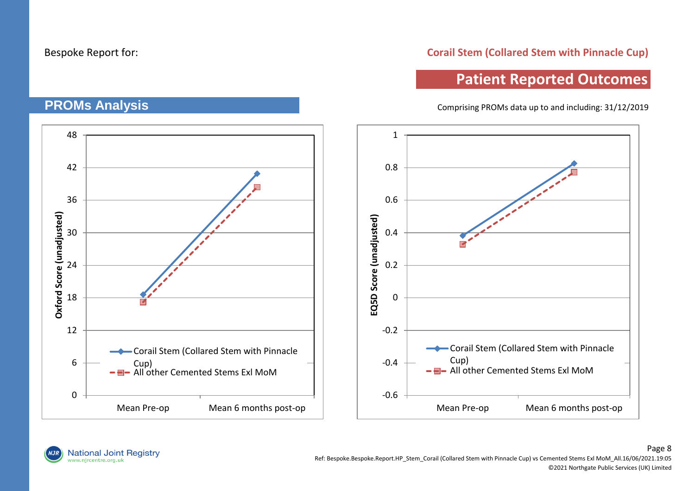**PROMs Analysis**

#### **Corail Stem (Collared Stem with Pinnacle Cup)**

# **Patient Reported Outcomes**

Comprising PROMs data up to and including: 31/12/2019

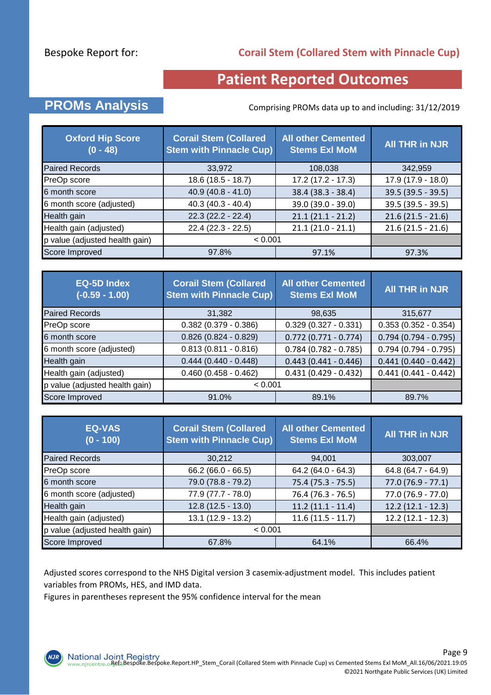### **Corail Stem (Collared Stem with Pinnacle Cup)**

## **Patient Reported Outcomes**

## **PROMs Analysis** Comprising PROMs data up to and including: 31/12/2019

| <b>Oxford Hip Score</b><br>$(0 - 48)$ | <b>Corail Stem (Collared</b><br><b>Stem with Pinnacle Cup)</b> | <b>All other Cemented</b><br><b>Stems Exl MoM</b> | All THR in NJR      |
|---------------------------------------|----------------------------------------------------------------|---------------------------------------------------|---------------------|
| <b>Paired Records</b>                 | 33,972                                                         | 108,038                                           | 342,959             |
| PreOp score                           | $18.6(18.5 - 18.7)$                                            | $17.2(17.2 - 17.3)$                               | $17.9(17.9 - 18.0)$ |
| 6 month score                         | $40.9(40.8 - 41.0)$                                            | 38.4 (38.3 - 38.4)                                | $39.5(39.5 - 39.5)$ |
| 6 month score (adjusted)              | $40.3(40.3 - 40.4)$                                            | 39.0 (39.0 - 39.0)                                | 39.5 (39.5 - 39.5)  |
| Health gain                           | $22.3(22.2 - 22.4)$                                            | $21.1(21.1 - 21.2)$                               | $21.6(21.5 - 21.6)$ |
| Health gain (adjusted)                | $22.4(22.3 - 22.5)$                                            | $21.1(21.0 - 21.1)$                               | $21.6(21.5 - 21.6)$ |
| p value (adjusted health gain)        | < 0.001                                                        |                                                   |                     |
| Score Improved                        | 97.8%                                                          | 97.1%                                             | 97.3%               |

| <b>EQ-5D Index</b><br>$(-0.59 - 1.00)$ | <b>Corail Stem (Collared</b><br><b>Stem with Pinnacle Cup)</b> | <b>All other Cemented</b><br><b>Stems Exl MoM</b> | <b>All THR in NJR</b>  |
|----------------------------------------|----------------------------------------------------------------|---------------------------------------------------|------------------------|
| <b>Paired Records</b>                  | 31,382                                                         | 98,635                                            | 315,677                |
| PreOp score                            | $0.382$ (0.379 - 0.386)                                        | $0.329(0.327 - 0.331)$                            | $0.353(0.352 - 0.354)$ |
| 6 month score                          | $0.826(0.824 - 0.829)$                                         | $0.772$ (0.771 - 0.774)                           | $0.794(0.794 - 0.795)$ |
| 6 month score (adjusted)               | $0.813(0.811 - 0.816)$                                         | $0.784(0.782 - 0.785)$                            | $0.794(0.794 - 0.795)$ |
| Health gain                            | $0.444(0.440 - 0.448)$                                         | $0.443(0.441 - 0.446)$                            | $0.441(0.440 - 0.442)$ |
| Health gain (adjusted)                 | $0.460(0.458 - 0.462)$                                         | $0.431(0.429 - 0.432)$                            | $0.441(0.441 - 0.442)$ |
| p value (adjusted health gain)         | < 0.001                                                        |                                                   |                        |
| Score Improved                         | 91.0%                                                          | 89.1%                                             | 89.7%                  |

| EQ-VAS<br>$(0 - 100)$          | <b>Corail Stem (Collared</b><br><b>Stem with Pinnacle Cup)</b> | <b>All other Cemented</b><br><b>Stems Exl MoM</b> | <b>All THR in NJR</b> |
|--------------------------------|----------------------------------------------------------------|---------------------------------------------------|-----------------------|
| <b>Paired Records</b>          | 30,212                                                         | 94,001                                            | 303,007               |
| PreOp score                    | $66.2(66.0 - 66.5)$                                            | $64.2(64.0 - 64.3)$                               | 64.8 (64.7 - 64.9)    |
| 6 month score                  | 79.0 (78.8 - 79.2)                                             | $75.4(75.3 - 75.5)$                               | $77.0(76.9 - 77.1)$   |
| 6 month score (adjusted)       | 77.9 (77.7 - 78.0)                                             | $76.4$ (76.3 - 76.5)                              | $77.0(76.9 - 77.0)$   |
| Health gain                    | $12.8(12.5 - 13.0)$                                            | $11.2(11.1 - 11.4)$                               | $12.2(12.1 - 12.3)$   |
| Health gain (adjusted)         | $13.1(12.9 - 13.2)$                                            | $11.6(11.5 - 11.7)$                               | $12.2(12.1 - 12.3)$   |
| p value (adjusted health gain) | < 0.001                                                        |                                                   |                       |
| Score Improved                 | 67.8%                                                          | 64.1%                                             | 66.4%                 |

Adjusted scores correspond to the NHS Digital version 3 casemix-adjustment model. This includes patient variables from PROMs, HES, and IMD data.

Figures in parentheses represent the 95% confidence interval for the mean

**NJR**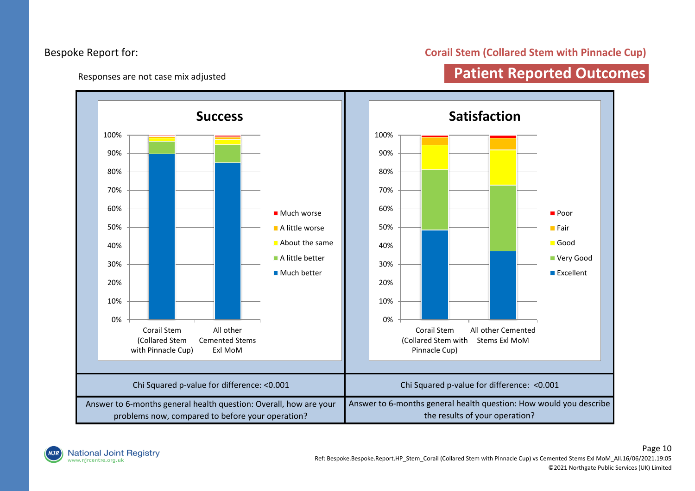#### Responses are not case mix adjusted

#### **Corail Stem (Collared Stem with Pinnacle Cup)**

## **Patient Reported Outcomes**



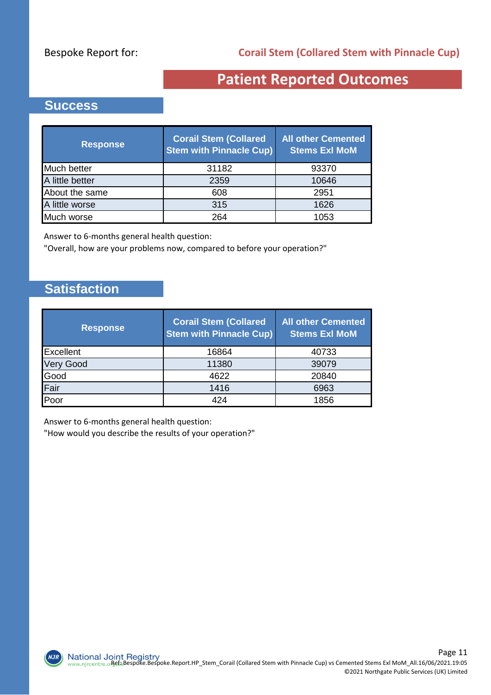# **Patient Reported Outcomes**

## **Success**

| <b>Response</b> | <b>Corail Stem (Collared</b><br><b>Stem with Pinnacle Cup)</b> | <b>All other Cemented</b><br><b>Stems Exl MoM</b> |
|-----------------|----------------------------------------------------------------|---------------------------------------------------|
| Much better     | 31182                                                          | 93370                                             |
| A little better | 2359                                                           | 10646                                             |
| About the same  | 608                                                            | 2951                                              |
| A little worse  | 315                                                            | 1626                                              |
| Much worse      | 264                                                            | 1053                                              |

Answer to 6-months general health question:

"Overall, how are your problems now, compared to before your operation?"

## **Satisfaction**

 $NJI$ 

| <b>Response</b>  | <b>Corail Stem (Collared</b><br><b>Stem with Pinnacle Cup)</b> | <b>All other Cemented</b><br><b>Stems Exl MoM</b> |
|------------------|----------------------------------------------------------------|---------------------------------------------------|
| Excellent        | 16864                                                          | 40733                                             |
| <b>Very Good</b> | 11380                                                          | 39079                                             |
| Good             | 4622                                                           | 20840                                             |
| Fair             | 1416                                                           | 6963                                              |
| Poor             | 424                                                            | 1856                                              |

Answer to 6-months general health question:

"How would you describe the results of your operation?"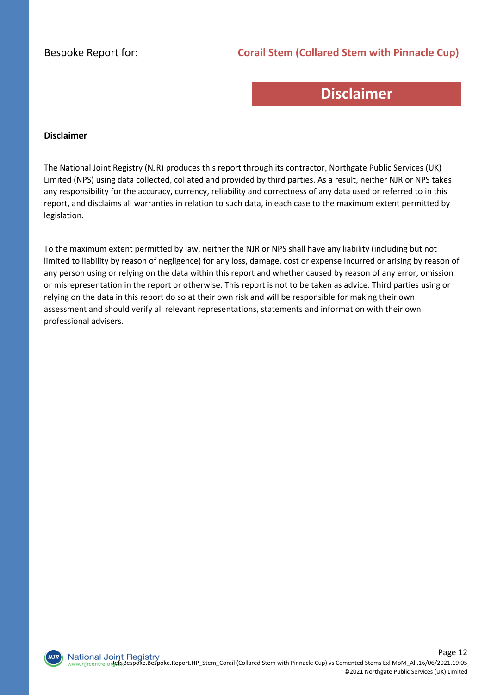#### **Corail Stem (Collared Stem with Pinnacle Cup)**

## **Disclaimer**

#### **Disclaimer**

The National Joint Registry (NJR) produces this report through its contractor, Northgate Public Services (UK) Limited (NPS) using data collected, collated and provided by third parties. As a result, neither NJR or NPS takes any responsibility for the accuracy, currency, reliability and correctness of any data used or referred to in this report, and disclaims all warranties in relation to such data, in each case to the maximum extent permitted by legislation.

To the maximum extent permitted by law, neither the NJR or NPS shall have any liability (including but not limited to liability by reason of negligence) for any loss, damage, cost or expense incurred or arising by reason of any person using or relying on the data within this report and whether caused by reason of any error, omission or misrepresentation in the report or otherwise. This report is not to be taken as advice. Third parties using or relying on the data in this report do so at their own risk and will be responsible for making their own assessment and should verify all relevant representations, statements and information with their own professional advisers.